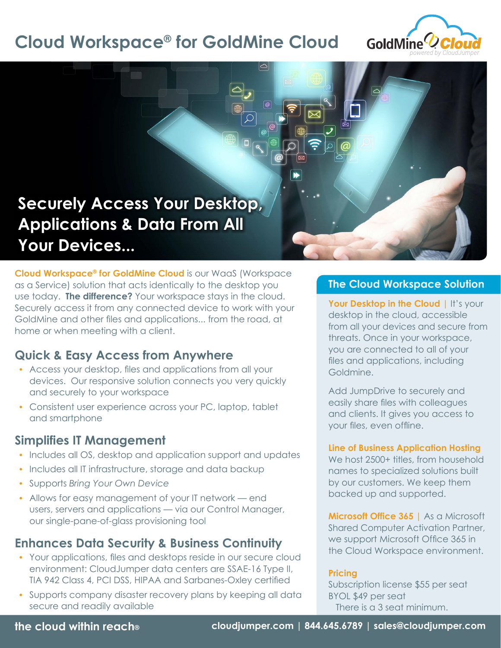# **Cloud Workspace® for GoldMine Cloud**



# **Securely Access Your Desktop, Applications & Data From All Your Devices...**

**Cloud Workspace® for GoldMine Cloud** is our WaaS (Workspace as a Service) solution that acts identically to the desktop you use today. **The difference?** Your workspace stays in the cloud. Securely access it from any connected device to work with your GoldMine and other files and applications... from the road, at home or when meeting with a client.

## **Quick & Easy Access from Anywhere**

- Access your desktop, files and applications from all your devices. Our responsive solution connects you very quickly and securely to your workspace
- Consistent user experience across your PC, laptop, tablet and smartphone

## **Simplifies IT Management**

- Includes all OS, desktop and application support and updates
- Includes all IT infrastructure, storage and data backup
- Supports *Bring Your Own Device*
- Allows for easy management of your IT network end users, servers and applications — via our Control Manager, our single-pane-of-glass provisioning tool

## **Enhances Data Security & Business Continuity**

- Your applications, files and desktops reside in our secure cloud environment: CloudJumper data centers are SSAE-16 Type II, TIA 942 Class 4, PCI DSS, HIPAA and Sarbanes-Oxley certified
- Supports company disaster recovery plans by keeping all data secure and readily available

### **The Cloud Workspace Solution**

**Your Desktop in the Cloud | It's your** desktop in the cloud, accessible from all your devices and secure from threats. Once in your workspace, you are connected to all of your files and applications, including Goldmine.

Add JumpDrive to securely and easily share files with colleagues and clients. It gives you access to your files, even offline.

#### **Line of Business Application Hosting**

We host 2500+ titles, from household names to specialized solutions built by our customers. We keep them backed up and supported.

**Microsoft Office 365 |** As a Microsoft Shared Computer Activation Partner, we support Microsoft Office 365 in the Cloud Workspace environment.

#### **Pricing**

Subscription license \$55 per seat BYOL \$49 per seat There is a 3 seat minimum.